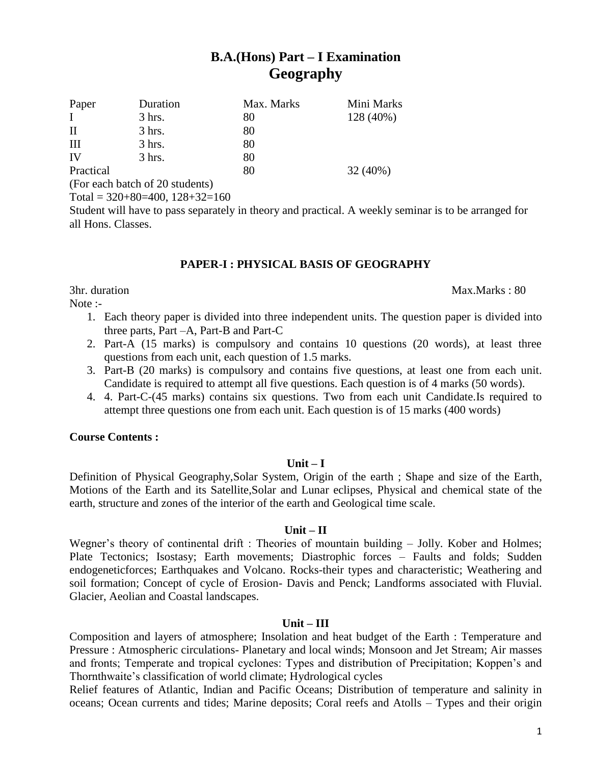# **B.A.(Hons) Part – I Examination Geography**

| Paper        | Duration                                                                     | Max. Marks | Mini Marks |
|--------------|------------------------------------------------------------------------------|------------|------------|
| $\mathbf{I}$ | $3$ hrs.                                                                     | 80         | 128 (40%)  |
| $\rm II$     | $3$ hrs.                                                                     | 80         |            |
| Ш            | $3$ hrs.                                                                     | 80         |            |
| IV           | $3$ hrs.                                                                     | 80         |            |
| Practical    |                                                                              | 80         | 32(40%)    |
|              | $\sqrt{1}$ $\sqrt{1}$ $\sqrt{1}$ $\sqrt{1}$ $\sqrt{2}$ $\sqrt{2}$ $\sqrt{2}$ |            |            |

(For each batch of 20 students)

Total =  $320+80=400$ ,  $128+32=160$ 

Student will have to pass separately in theory and practical. A weekly seminar is to be arranged for all Hons. Classes.

# **PAPER-I : PHYSICAL BASIS OF GEOGRAPHY**

Note :-

- 1. Each theory paper is divided into three independent units. The question paper is divided into three parts, Part –A, Part-B and Part-C
- 2. Part-A (15 marks) is compulsory and contains 10 questions (20 words), at least three questions from each unit, each question of 1.5 marks.
- 3. Part-B (20 marks) is compulsory and contains five questions, at least one from each unit. Candidate is required to attempt all five questions. Each question is of 4 marks (50 words).
- 4. 4. Part-C-(45 marks) contains six questions. Two from each unit Candidate.Is required to attempt three questions one from each unit. Each question is of 15 marks (400 words)

# **Course Contents :**

# **Unit – I**

Definition of Physical Geography,Solar System, Origin of the earth ; Shape and size of the Earth, Motions of the Earth and its Satellite,Solar and Lunar eclipses, Physical and chemical state of the earth, structure and zones of the interior of the earth and Geological time scale.

# **Unit – II**

Wegner's theory of continental drift : Theories of mountain building – Jolly. Kober and Holmes; Plate Tectonics; Isostasy; Earth movements; Diastrophic forces – Faults and folds; Sudden endogeneticforces; Earthquakes and Volcano. Rocks-their types and characteristic; Weathering and soil formation; Concept of cycle of Erosion- Davis and Penck; Landforms associated with Fluvial. Glacier, Aeolian and Coastal landscapes.

# **Unit – III**

Composition and layers of atmosphere; Insolation and heat budget of the Earth : Temperature and Pressure : Atmospheric circulations- Planetary and local winds; Monsoon and Jet Stream; Air masses and fronts; Temperate and tropical cyclones: Types and distribution of Precipitation; Koppen's and Thornthwaite's classification of world climate; Hydrological cycles

Relief features of Atlantic, Indian and Pacific Oceans; Distribution of temperature and salinity in oceans; Ocean currents and tides; Marine deposits; Coral reefs and Atolls – Types and their origin

#### 3hr. duration Max.Marks : 80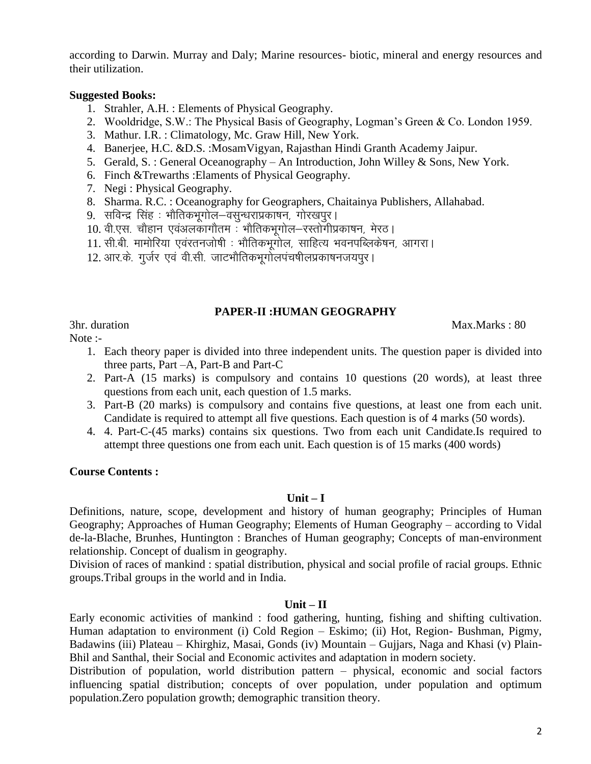according to Darwin. Murray and Daly; Marine resources- biotic, mineral and energy resources and their utilization.

# **Suggested Books:**

- 1. Strahler, A.H. : Elements of Physical Geography.
- 2. Wooldridge, S.W.: The Physical Basis of Geography, Logman's Green & Co. London 1959.
- 3. Mathur. I.R. : Climatology, Mc. Graw Hill, New York.
- 4. Banerjee, H.C. &D.S. :MosamVigyan, Rajasthan Hindi Granth Academy Jaipur.
- 5. Gerald, S. : General Oceanography An Introduction, John Willey & Sons, New York.
- 6. Finch &Trewarths :Elaments of Physical Geography.
- 7. Negi : Physical Geography.
- 8. Sharma. R.C. : Oceanography for Geographers, Chaitainya Publishers, Allahabad.
- 9. सविन्द्र सिंह : भौतिकभूगोल—वसुन्धराप्रकाषन, गोरखपुर।
- 10. वी.एस. चौहान एवंअलकागौतम : भौतिकभगोल-रस्तोगीप्रकाषन. मेरठ।
- 11. सी.बी. मामोरिया एवंरतनजोषी : भौतिकभूगोल, साहित्य भवनपब्लिकेषन, आगरा।
- 12. आर.के. गूर्जर एवं वी.सी. जाटभौतिकभूगोलपंचषीलप्रकाषनजयपुर।

# **PAPER-II :HUMAN GEOGRAPHY**

3hr. duration Max.Marks : 80

Note :-

- 1. Each theory paper is divided into three independent units. The question paper is divided into three parts, Part –A, Part-B and Part-C
- 2. Part-A (15 marks) is compulsory and contains 10 questions (20 words), at least three questions from each unit, each question of 1.5 marks.
- 3. Part-B (20 marks) is compulsory and contains five questions, at least one from each unit. Candidate is required to attempt all five questions. Each question is of 4 marks (50 words).
- 4. 4. Part-C-(45 marks) contains six questions. Two from each unit Candidate.Is required to attempt three questions one from each unit. Each question is of 15 marks (400 words)

# **Course Contents :**

# **Unit – I**

Definitions, nature, scope, development and history of human geography; Principles of Human Geography; Approaches of Human Geography; Elements of Human Geography – according to Vidal de-la-Blache, Brunhes, Huntington : Branches of Human geography; Concepts of man-environment relationship. Concept of dualism in geography.

Division of races of mankind : spatial distribution, physical and social profile of racial groups. Ethnic groups.Tribal groups in the world and in India.

# **Unit – II**

Early economic activities of mankind : food gathering, hunting, fishing and shifting cultivation. Human adaptation to environment (i) Cold Region – Eskimo; (ii) Hot, Region- Bushman, Pigmy, Badawins (iii) Plateau – Khirghiz, Masai, Gonds (iv) Mountain – Gujjars, Naga and Khasi (v) Plain-Bhil and Santhal, their Social and Economic activites and adaptation in modern society.

Distribution of population, world distribution pattern – physical, economic and social factors influencing spatial distribution; concepts of over population, under population and optimum population.Zero population growth; demographic transition theory.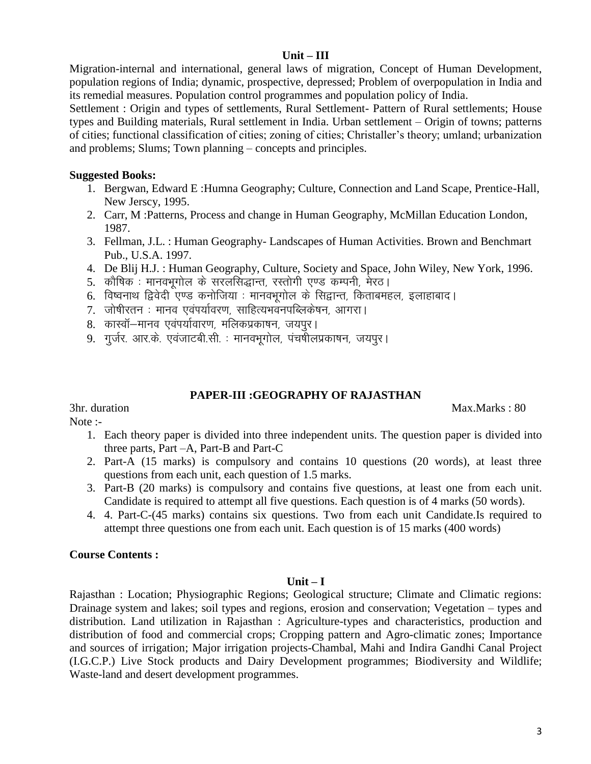### **Unit – III**

Migration-internal and international, general laws of migration, Concept of Human Development, population regions of India; dynamic, prospective, depressed; Problem of overpopulation in India and its remedial measures. Population control programmes and population policy of India.

Settlement : Origin and types of settlements, Rural Settlement- Pattern of Rural settlements; House types and Building materials, Rural settlement in India. Urban settlement – Origin of towns; patterns of cities; functional classification of cities; zoning of cities; Christaller's theory; umland; urbanization and problems; Slums; Town planning – concepts and principles.

# **Suggested Books:**

- 1. Bergwan, Edward E :Humna Geography; Culture, Connection and Land Scape, Prentice-Hall, New Jerscy, 1995.
- 2. Carr, M :Patterns, Process and change in Human Geography, McMillan Education London, 1987.
- 3. Fellman, J.L. : Human Geography- Landscapes of Human Activities. Brown and Benchmart Pub., U.S.A. 1997.
- 4. De Blij H.J. : Human Geography, Culture, Society and Space, John Wiley, New York, 1996.
- 5. कौषिक : मानवभूगोल के सरलसिद्धान्त, रस्तोगी एण्ड कम्पनी, मेरठ।
- 6. विष्वनाथ द्विवेदी एण्ड कनोजिया : मानवभूगोल के सिद्वान्त, किताबमहल, इलाहाबाद।
- 7. जोषीरतन : मानव एवंपर्यावरण, साहित्यभवनपब्लिकेषन, आगरा।
- 8. कास्वॉ—मानव एवंपर्यावारण, मलिकप्रकाषन, जयपुर।
- 9. गुर्जर. आर.के. एवंजाटबी.सी. : मानवभूगोल, पंचर्षीलप्रकाषन, जयपुर।

# **PAPER-III :GEOGRAPHY OF RAJASTHAN**

3hr. duration Max.Marks : 80

Note :-

- 1. Each theory paper is divided into three independent units. The question paper is divided into three parts, Part –A, Part-B and Part-C
- 2. Part-A (15 marks) is compulsory and contains 10 questions (20 words), at least three questions from each unit, each question of 1.5 marks.
- 3. Part-B (20 marks) is compulsory and contains five questions, at least one from each unit. Candidate is required to attempt all five questions. Each question is of 4 marks (50 words).
- 4. 4. Part-C-(45 marks) contains six questions. Two from each unit Candidate.Is required to attempt three questions one from each unit. Each question is of 15 marks (400 words)

# **Course Contents :**

# **Unit – I**

Rajasthan : Location; Physiographic Regions; Geological structure; Climate and Climatic regions: Drainage system and lakes; soil types and regions, erosion and conservation; Vegetation – types and distribution. Land utilization in Rajasthan : Agriculture-types and characteristics, production and distribution of food and commercial crops; Cropping pattern and Agro-climatic zones; Importance and sources of irrigation; Major irrigation projects-Chambal, Mahi and Indira Gandhi Canal Project (I.G.C.P.) Live Stock products and Dairy Development programmes; Biodiversity and Wildlife; Waste-land and desert development programmes.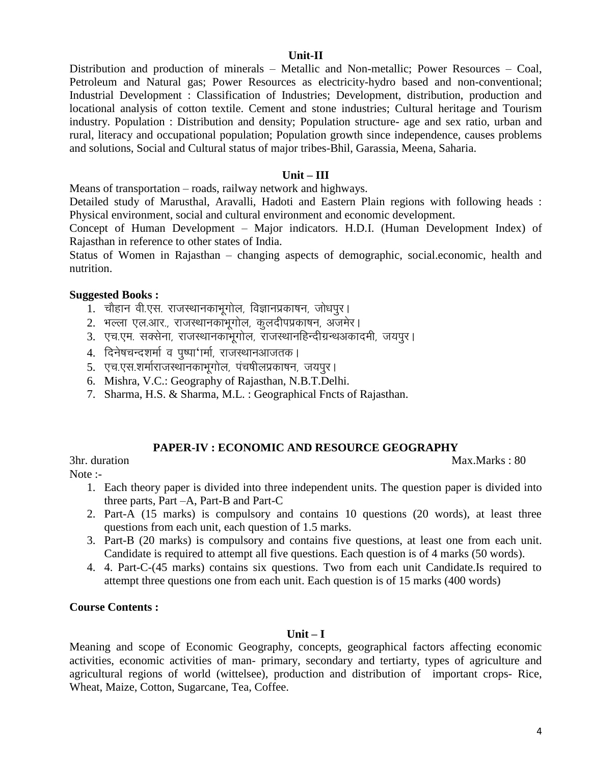# **Unit-II**

Distribution and production of minerals – Metallic and Non-metallic; Power Resources – Coal, Petroleum and Natural gas; Power Resources as electricity-hydro based and non-conventional; Industrial Development : Classification of Industries; Development, distribution, production and locational analysis of cotton textile. Cement and stone industries; Cultural heritage and Tourism industry. Population : Distribution and density; Population structure- age and sex ratio, urban and rural, literacy and occupational population; Population growth since independence, causes problems and solutions, Social and Cultural status of major tribes-Bhil, Garassia, Meena, Saharia.

### **Unit – III**

Means of transportation – roads, railway network and highways.

Detailed study of Marusthal, Aravalli, Hadoti and Eastern Plain regions with following heads : Physical environment, social and cultural environment and economic development.

Concept of Human Development – Major indicators. H.D.I. (Human Development Index) of Rajasthan in reference to other states of India.

Status of Women in Rajasthan – changing aspects of demographic, social.economic, health and nutrition.

### **Suggested Books :**

- $1.$  चौहान वी.एस. राजस्थानकाभूगोल, विज्ञानप्रकाषन, जोधपूर।
- 2. भल्ला एल.आर., राजस्थानकांभूगोल, कुलदीपप्रकाषन, अजमेर।
- 3. एच.एम. सक्सेना, राजस्थानकाभूगोल, राजस्थानहिन्दीग्रन्थअकादमी, जयपुर।
- 4. दिनेषचन्दशर्मा व पुष्पा'ार्मा, राजस्थानआजतक।
- 5. एच.एस.शर्माराजस्थानकाभूगोल, पंचषीलप्रकाषन, जयपुर।
- 6. Mishra, V.C.: Geography of Rajasthan, N.B.T.Delhi.
- 7. Sharma, H.S. & Sharma, M.L. : Geographical Fncts of Rajasthan.

# **PAPER-IV : ECONOMIC AND RESOURCE GEOGRAPHY**

3hr. duration Max.Marks : 80 Note :-

1. Each theory paper is divided into three independent units. The question paper is divided into three parts, Part –A, Part-B and Part-C

- 2. Part-A (15 marks) is compulsory and contains 10 questions (20 words), at least three questions from each unit, each question of 1.5 marks.
- 3. Part-B (20 marks) is compulsory and contains five questions, at least one from each unit. Candidate is required to attempt all five questions. Each question is of 4 marks (50 words).
- 4. 4. Part-C-(45 marks) contains six questions. Two from each unit Candidate.Is required to attempt three questions one from each unit. Each question is of 15 marks (400 words)

#### **Course Contents :**

#### **Unit – I**

Meaning and scope of Economic Geography, concepts, geographical factors affecting economic activities, economic activities of man- primary, secondary and tertiarty, types of agriculture and agricultural regions of world (wittelsee), production and distribution of important crops- Rice, Wheat, Maize, Cotton, Sugarcane, Tea, Coffee.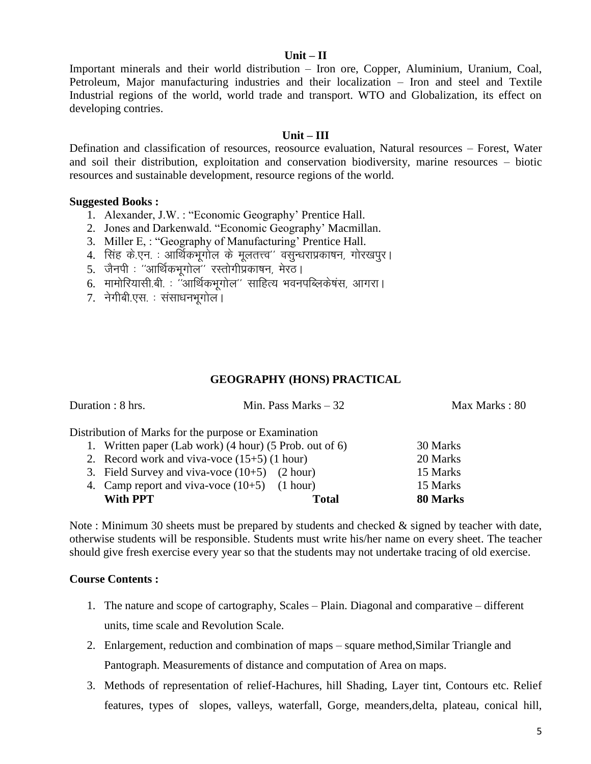### **Unit – II**

Important minerals and their world distribution – Iron ore, Copper, Aluminium, Uranium, Coal, Petroleum, Major manufacturing industries and their localization – Iron and steel and Textile Industrial regions of the world, world trade and transport. WTO and Globalization, its effect on developing contries.

### **Unit – III**

Defination and classification of resources, reosource evaluation, Natural resources – Forest, Water and soil their distribution, exploitation and conservation biodiversity, marine resources – biotic resources and sustainable development, resource regions of the world.

### **Suggested Books :**

- 1. Alexander, J.W. : "Economic Geography' Prentice Hall.
- 2. Jones and Darkenwald. "Economic Geography' Macmillan.
- 3. Miller E, : "Geography of Manufacturing' Prentice Hall.
- 4. सिंह के.एन. : आर्थिकभूगोल के मूलतत्त्व'' वसुन्धराप्रकाषन, गोरखपुर।
- 5. जैनपी : "आर्थिकभूगोल" रस्तोगीप्रकाषन, मेरठ।
- $6.$  मामोरियासी.बी. : "आर्थिकभृगोल" साहित्य भवनपब्लिकेषंस, आगरा |
- 7. नेगीबी.एस. : संसाधनभूगोल।

# **GEOGRAPHY (HONS) PRACTICAL**

| Duration : 8 hrs.                                       | Min. Pass Marks $-32$ | Max Marks: 80 |
|---------------------------------------------------------|-----------------------|---------------|
| Distribution of Marks for the purpose or Examination    |                       |               |
| 1. Written paper (Lab work) (4 hour) (5 Prob. out of 6) |                       | 30 Marks      |
| 2. Record work and viva-voce $(15+5)$ (1 hour)          |                       | 20 Marks      |
| 3. Field Survey and viva-voce $(10+5)$ $(2 hour)$       |                       | 15 Marks      |
| 4. Camp report and viva-voce $(10+5)$ $(1 hour)$        |                       | 15 Marks      |
| With PPT                                                | Total                 | 80 Marks      |

Note : Minimum 30 sheets must be prepared by students and checked & signed by teacher with date, otherwise students will be responsible. Students must write his/her name on every sheet. The teacher should give fresh exercise every year so that the students may not undertake tracing of old exercise.

# **Course Contents :**

- 1. The nature and scope of cartography, Scales Plain. Diagonal and comparative different units, time scale and Revolution Scale.
- 2. Enlargement, reduction and combination of maps square method,Similar Triangle and Pantograph. Measurements of distance and computation of Area on maps.
- 3. Methods of representation of relief-Hachures, hill Shading, Layer tint, Contours etc. Relief features, types of slopes, valleys, waterfall, Gorge, meanders,delta, plateau, conical hill,